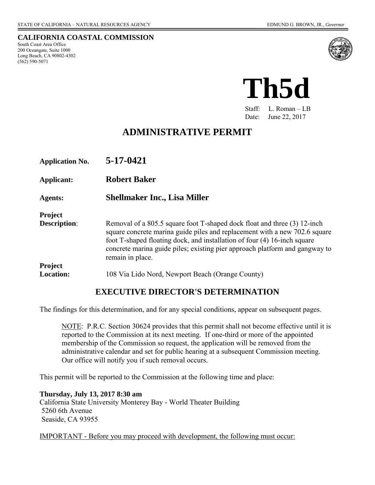**CALIFORNIA COASTAL COMMISSION** 

South Coast Area Office 200 Oceangate, Suite 1000 Long Beach, CA 90802-4302 (562) 590-5071





Staff: L. Roman – LB Date: June 22, 2017

# **ADMINISTRATIVE PERMIT**

| <b>Application No.</b> | 5-17-0421                                                                                                                                                                                                                                                                                                                             |
|------------------------|---------------------------------------------------------------------------------------------------------------------------------------------------------------------------------------------------------------------------------------------------------------------------------------------------------------------------------------|
| Applicant:             | <b>Robert Baker</b>                                                                                                                                                                                                                                                                                                                   |
| <b>Agents:</b>         | <b>Shellmaker Inc., Lisa Miller</b>                                                                                                                                                                                                                                                                                                   |
| <b>Project</b>         |                                                                                                                                                                                                                                                                                                                                       |
| <b>Description:</b>    | Removal of a 805.5 square foot T-shaped dock float and three (3) 12-inch<br>square concrete marina guide piles and replacement with a new 702.6 square<br>foot T-shaped floating dock, and installation of four (4) 16-inch square<br>concrete marina guide piles; existing pier approach platform and gangway to<br>remain in place. |
| Project                |                                                                                                                                                                                                                                                                                                                                       |
| <b>Location:</b>       | 108 Via Lido Nord, Newport Beach (Orange County)                                                                                                                                                                                                                                                                                      |

### **EXECUTIVE DIRECTOR'S DETERMINATION**

The findings for this determination, and for any special conditions, appear on subsequent pages.

NOTE: P.R.C. Section 30624 provides that this permit shall not become effective until it is reported to the Commission at its next meeting. If one-third or more of the appointed membership of the Commission so request, the application will be removed from the administrative calendar and set for public hearing at a subsequent Commission meeting. Our office will notify you if such removal occurs.

This permit will be reported to the Commission at the following time and place:

**Thursday, July 13, 2017 8:30 am** California State University Monterey Bay - World Theater Building 5260 6th Avenue Seaside, CA 93955

IMPORTANT - Before you may proceed with development, the following must occur: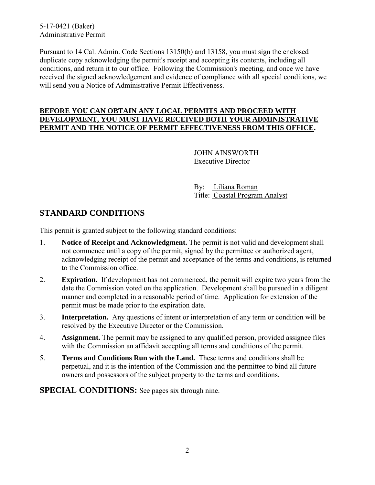5-17-0421 (Baker) Administrative Permit

Pursuant to 14 Cal. Admin. Code Sections 13150(b) and 13158, you must sign the enclosed duplicate copy acknowledging the permit's receipt and accepting its contents, including all conditions, and return it to our office. Following the Commission's meeting, and once we have received the signed acknowledgement and evidence of compliance with all special conditions, we will send you a Notice of Administrative Permit Effectiveness.

#### **BEFORE YOU CAN OBTAIN ANY LOCAL PERMITS AND PROCEED WITH DEVELOPMENT, YOU MUST HAVE RECEIVED BOTH YOUR ADMINISTRATIVE PERMIT AND THE NOTICE OF PERMIT EFFECTIVENESS FROM THIS OFFICE.**

 JOHN AINSWORTH Executive Director

 By: Liliana Roman Title: Coastal Program Analyst

## **STANDARD CONDITIONS**

This permit is granted subject to the following standard conditions:

- 1. **Notice of Receipt and Acknowledgment.** The permit is not valid and development shall not commence until a copy of the permit, signed by the permittee or authorized agent, acknowledging receipt of the permit and acceptance of the terms and conditions, is returned to the Commission office.
- 2. **Expiration.** If development has not commenced, the permit will expire two years from the date the Commission voted on the application. Development shall be pursued in a diligent manner and completed in a reasonable period of time. Application for extension of the permit must be made prior to the expiration date.
- 3. **Interpretation.** Any questions of intent or interpretation of any term or condition will be resolved by the Executive Director or the Commission.
- 4. **Assignment.** The permit may be assigned to any qualified person, provided assignee files with the Commission an affidavit accepting all terms and conditions of the permit.
- 5. **Terms and Conditions Run with the Land.** These terms and conditions shall be perpetual, and it is the intention of the Commission and the permittee to bind all future owners and possessors of the subject property to the terms and conditions.

**SPECIAL CONDITIONS:** See pages six through nine.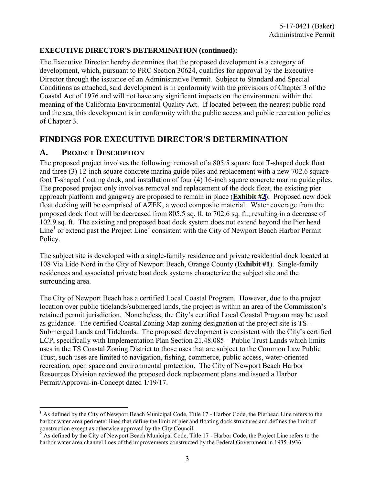#### **EXECUTIVE DIRECTOR'S DETERMINATION (continued):**

The Executive Director hereby determines that the proposed development is a category of development, which, pursuant to PRC Section 30624, qualifies for approval by the Executive Director through the issuance of an Administrative Permit. Subject to Standard and Special Conditions as attached, said development is in conformity with the provisions of Chapter 3 of the Coastal Act of 1976 and will not have any significant impacts on the environment within the meaning of the California Environmental Quality Act. If located between the nearest public road and the sea, this development is in conformity with the public access and public recreation policies of Chapter 3.

## **FINDINGS FOR EXECUTIVE DIRECTOR'S DETERMINATION**

### **A. PROJECT DESCRIPTION**

l

The proposed project involves the following: removal of a 805.5 square foot T-shaped dock float and three (3) 12-inch square concrete marina guide piles and replacement with a new 702.6 square foot T-shaped floating dock, and installation of four (4) 16-inch square concrete marina guide piles. The proposed project only involves removal and replacement of the dock float, the existing pier approach platform and gangway are proposed to remain in place (**[Exhibit #2](https://documents.coastal.ca.gov/reports/2017/7/th5d/th5d-7-2017-exhibits.pdf)**). Proposed new dock float decking will be comprised of AZEK, a wood composite material. Water coverage from the proposed dock float will be decreased from 805.5 sq. ft. to 702.6 sq. ft.; resulting in a decrease of 102.9 sq. ft. The existing and proposed boat dock system does not extend beyond the Pier head Line<sup>1</sup> or extend past the Project Line<sup>2</sup> consistent with the City of Newport Beach Harbor Permit Policy.

The subject site is developed with a single-family residence and private residential dock located at 108 Via Lido Nord in the City of Newport Beach, Orange County (**[Exhibit #1](https://documents.coastal.ca.gov/reports/2017/7/th5d/th5d-7-2017-exhibits.pdf)**). Single-family residences and associated private boat dock systems characterize the subject site and the surrounding area.

The City of Newport Beach has a certified Local Coastal Program. However, due to the project location over public tidelands/submerged lands, the project is within an area of the Commission's retained permit jurisdiction. Nonetheless, the City's certified Local Coastal Program may be used as guidance. The certified Coastal Zoning Map zoning designation at the project site is TS – Submerged Lands and Tidelands. The proposed development is consistent with the City's certified LCP, specifically with Implementation Plan Section 21.48.085 – Public Trust Lands which limits uses in the TS Coastal Zoning District to those uses that are subject to the Common Law Public Trust, such uses are limited to navigation, fishing, commerce, public access, water-oriented recreation, open space and environmental protection. The City of Newport Beach Harbor Resources Division reviewed the proposed dock replacement plans and issued a Harbor Permit/Approval-in-Concept dated 1/19/17.

<sup>&</sup>lt;sup>1</sup> As defined by the City of Newport Beach Municipal Code, Title 17 - Harbor Code, the Pierhead Line refers to the harbor water area perimeter lines that define the limit of pier and floating dock structures and defines the limit of construction except as otherwise approved by the City Council.

<sup>&</sup>lt;sup>2</sup> As defined by the City of Newport Beach Municipal Code, Title 17 - Harbor Code, the Project Line refers to the harbor water area channel lines of the improvements constructed by the Federal Government in 1935-1936.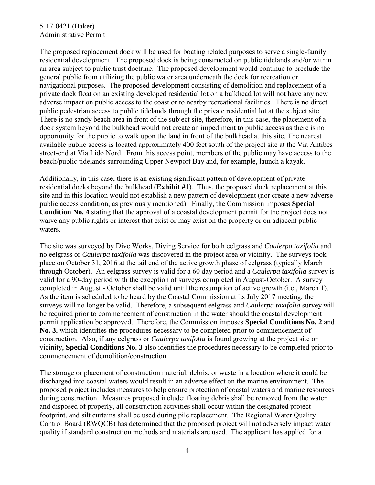#### 5-17-0421 (Baker) Administrative Permit

The proposed replacement dock will be used for boating related purposes to serve a single-family residential development. The proposed dock is being constructed on public tidelands and/or within an area subject to public trust doctrine. The proposed development would continue to preclude the general public from utilizing the public water area underneath the dock for recreation or navigational purposes. The proposed development consisting of demolition and replacement of a private dock float on an existing developed residential lot on a bulkhead lot will not have any new adverse impact on public access to the coast or to nearby recreational facilities. There is no direct public pedestrian access to public tidelands through the private residential lot at the subject site. There is no sandy beach area in front of the subject site, therefore, in this case, the placement of a dock system beyond the bulkhead would not create an impediment to public access as there is no opportunity for the public to walk upon the land in front of the bulkhead at this site. The nearest available public access is located approximately 400 feet south of the project site at the Via Antibes street-end at Via Lido Nord. From this access point, members of the public may have access to the beach/public tidelands surrounding Upper Newport Bay and, for example, launch a kayak.

Additionally, in this case, there is an existing significant pattern of development of private residential docks beyond the bulkhead (**[Exhibit #1](https://documents.coastal.ca.gov/reports/2017/7/th5d/th5d-7-2017-exhibits.pdf)**). Thus, the proposed dock replacement at this site and in this location would not establish a new pattern of development (nor create a new adverse public access condition, as previously mentioned). Finally, the Commission imposes **Special Condition No. 4** [stating that the approval of a coastal development permit for the project does](#page-5-0) not waive any public rights or interest that exist or may exist on the property or on adjacent public waters.

The site was surveyed by Dive Works, Diving Service for both eelgrass and *Caulerpa taxifolia* and no eelgrass or *Caulerpa taxifolia* was discovered in the project area or vicinity. The surveys took place on October 31, 2016 at the tail end of the active growth phase of eelgrass (typically March through October). An eelgrass survey is valid for a 60 day period and a *Caulerpa taxifolia* survey is valid for a 90-day period with the exception of surveys completed in August-October. A survey completed in August - October shall be valid until the resumption of active growth (i.e., March 1). As the item is scheduled to be heard by the Coastal Commission at its July 2017 meeting, the surveys will no longer be valid. Therefore, a subsequent eelgrass and *Caulerpa taxifolia* survey will be required prior to commencement of construction in the water should the coastal development permit application be approved. Therefore, the Commission imposes **[Special Conditions No. 2](#page-5-0)** and **No. 3**, which identifies the procedures necessary to be completed prior to commencement of construction. Also, if any eelgrass or *Caulerpa taxifolia* is found growing at the project site or vicinity, **[Special Conditions No. 3](#page-8-0)** also identifies the procedures necessary to be completed prior to commencement of demolition/construction.

The storage or placement of construction material, debris, or waste in a location where it could be discharged into coastal waters would result in an adverse effect on the marine environment. The proposed project includes measures to help ensure protection of coastal waters and marine resources during construction. Measures proposed include: floating debris shall be removed from the water and disposed of properly, all construction activities shall occur within the designated project footprint, and silt curtains shall be used during pile replacement. The Regional Water Quality Control Board (RWQCB) has determined that the proposed project will not adversely impact water quality if standard construction methods and materials are used. The applicant has applied for a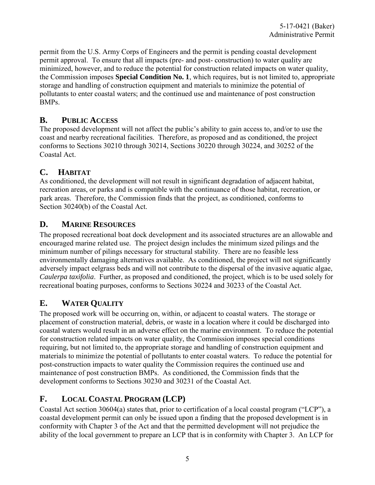permit from the U.S. Army Corps of Engineers and the permit is pending coastal development permit approval. To ensure that all impacts (pre- and post- construction) to water quality are minimized, however, and to reduce the potential for construction related impacts on water quality, the Commission imposes **Special Condition No. 1**, which requires, but is not limited to, appropriate storage and handling of construction equipment and materials to minimize the potential of pollutants to enter coastal waters; and the continued use and maintenance of post construction BMPs.

### **B. PUBLIC ACCESS**

The proposed development will not affect the public's ability to gain access to, and/or to use the coast and nearby recreational facilities. Therefore, as proposed and as conditioned, the project conforms to Sections 30210 through 30214, Sections 30220 through 30224, and 30252 of the Coastal Act.

### **C. HABITAT**

As conditioned, the development will not result in significant degradation of adjacent habitat, recreation areas, or parks and is compatible with the continuance of those habitat, recreation, or park areas. Therefore, the Commission finds that the project, as conditioned, conforms to Section 30240(b) of the Coastal Act.

### **D. MARINE RESOURCES**

The proposed recreational boat dock development and its associated structures are an allowable and encouraged marine related use. The project design includes the minimum sized pilings and the minimum number of pilings necessary for structural stability. There are no feasible less environmentally damaging alternatives available. As conditioned, the project will not significantly adversely impact eelgrass beds and will not contribute to the dispersal of the invasive aquatic algae, *Caulerpa taxifolia*. Further, as proposed and conditioned, the project, which is to be used solely for recreational boating purposes, conforms to Sections 30224 and 30233 of the Coastal Act.

## **E. WATER QUALITY**

The proposed work will be occurring on, within, or adjacent to coastal waters. The storage or placement of construction material, debris, or waste in a location where it could be discharged into coastal waters would result in an adverse effect on the marine environment. To reduce the potential for construction related impacts on water quality, the Commission imposes special conditions requiring, but not limited to, the appropriate storage and handling of construction equipment and materials to minimize the potential of pollutants to enter coastal waters. To reduce the potential for post-construction impacts to water quality the Commission requires the continued use and maintenance of post construction BMPs. As conditioned, the Commission finds that the development conforms to Sections 30230 and 30231 of the Coastal Act.

## **F. LOCAL COASTAL PROGRAM (LCP)**

Coastal Act section 30604(a) states that, prior to certification of a local coastal program ("LCP"), a coastal development permit can only be issued upon a finding that the proposed development is in conformity with Chapter 3 of the Act and that the permitted development will not prejudice the ability of the local government to prepare an LCP that is in conformity with Chapter 3. An LCP for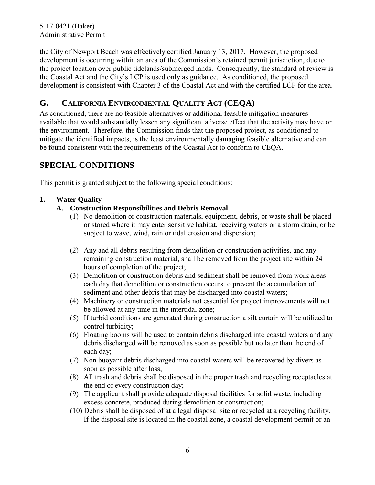<span id="page-5-0"></span>5-17-0421 (Baker) Administrative Permit

the City of Newport Beach was effectively certified January 13, 2017. However, the proposed development is occurring within an area of the Commission's retained permit jurisdiction, due to the project location over public tidelands/submerged lands. Consequently, the standard of review is the Coastal Act and the City's LCP is used only as guidance. As conditioned, the proposed development is consistent with Chapter 3 of the Coastal Act and with the certified LCP for the area.

## **G. CALIFORNIA ENVIRONMENTAL QUALITY ACT (CEQA)**

As conditioned, there are no feasible alternatives or additional feasible mitigation measures available that would substantially lessen any significant adverse effect that the activity may have on the environment. Therefore, the Commission finds that the proposed project, as conditioned to mitigate the identified impacts, is the least environmentally damaging feasible alternative and can be found consistent with the requirements of the Coastal Act to conform to CEQA.

## **SPECIAL CONDITIONS**

This permit is granted subject to the following special conditions:

### **1. Water Quality**

- **A. Construction Responsibilities and Debris Removal**
	- (1) No demolition or construction materials, equipment, debris, or waste shall be placed or stored where it may enter sensitive habitat, receiving waters or a storm drain, or be subject to wave, wind, rain or tidal erosion and dispersion;
	- (2) Any and all debris resulting from demolition or construction activities, and any remaining construction material, shall be removed from the project site within 24 hours of completion of the project;
	- (3) Demolition or construction debris and sediment shall be removed from work areas each day that demolition or construction occurs to prevent the accumulation of sediment and other debris that may be discharged into coastal waters;
	- (4) Machinery or construction materials not essential for project improvements will not be allowed at any time in the intertidal zone;
	- (5) If turbid conditions are generated during construction a silt curtain will be utilized to control turbidity;
	- (6) Floating booms will be used to contain debris discharged into coastal waters and any debris discharged will be removed as soon as possible but no later than the end of each day;
	- (7) Non buoyant debris discharged into coastal waters will be recovered by divers as soon as possible after loss;
	- (8) All trash and debris shall be disposed in the proper trash and recycling receptacles at the end of every construction day;
	- (9) The applicant shall provide adequate disposal facilities for solid waste, including excess concrete, produced during demolition or construction;
	- (10) Debris shall be disposed of at a legal disposal site or recycled at a recycling facility. If the disposal site is located in the coastal zone, a coastal development permit or an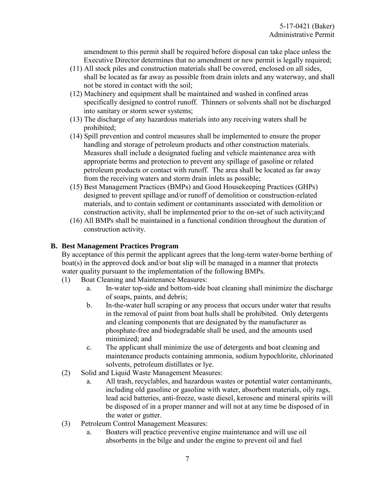amendment to this permit shall be required before disposal can take place unless the Executive Director determines that no amendment or new permit is legally required;

- (11) All stock piles and construction materials shall be covered, enclosed on all sides, shall be located as far away as possible from drain inlets and any waterway, and shall not be stored in contact with the soil;
- (12) Machinery and equipment shall be maintained and washed in confined areas specifically designed to control runoff. Thinners or solvents shall not be discharged into sanitary or storm sewer systems;
- (13) The discharge of any hazardous materials into any receiving waters shall be prohibited;
- (14) Spill prevention and control measures shall be implemented to ensure the proper handling and storage of petroleum products and other construction materials. Measures shall include a designated fueling and vehicle maintenance area with appropriate berms and protection to prevent any spillage of gasoline or related petroleum products or contact with runoff. The area shall be located as far away from the receiving waters and storm drain inlets as possible;
- (15) Best Management Practices (BMPs) and Good Housekeeping Practices (GHPs) designed to prevent spillage and/or runoff of demolition or construction-related materials, and to contain sediment or contaminants associated with demolition or construction activity, shall be implemented prior to the on-set of such activity;and
- (16) All BMPs shall be maintained in a functional condition throughout the duration of construction activity.

#### **B. Best Management Practices Program**

By acceptance of this permit the applicant agrees that the long-term water-borne berthing of boat(s) in the approved dock and/or boat slip will be managed in a manner that protects water quality pursuant to the implementation of the following BMPs.

- (1) Boat Cleaning and Maintenance Measures:
	- a. In-water top-side and bottom-side boat cleaning shall minimize the discharge of soaps, paints, and debris;
	- b. In-the-water hull scraping or any process that occurs under water that results in the removal of paint from boat hulls shall be prohibited. Only detergents and cleaning components that are designated by the manufacturer as phosphate-free and biodegradable shall be used, and the amounts used minimized; and
	- c. The applicant shall minimize the use of detergents and boat cleaning and maintenance products containing ammonia, sodium hypochlorite, chlorinated solvents, petroleum distillates or lye.
- (2) Solid and Liquid Waste Management Measures:
	- a. All trash, recyclables, and hazardous wastes or potential water contaminants, including old gasoline or gasoline with water, absorbent materials, oily rags, lead acid batteries, anti-freeze, waste diesel, kerosene and mineral spirits will be disposed of in a proper manner and will not at any time be disposed of in the water or gutter.
- (3) Petroleum Control Management Measures:
	- a. Boaters will practice preventive engine maintenance and will use oil absorbents in the bilge and under the engine to prevent oil and fuel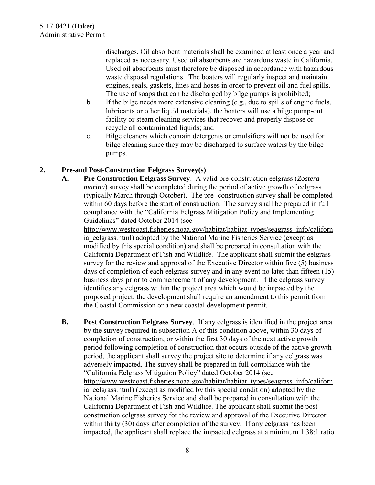discharges. Oil absorbent materials shall be examined at least once a year and replaced as necessary. Used oil absorbents are hazardous waste in California. Used oil absorbents must therefore be disposed in accordance with hazardous waste disposal regulations. The boaters will regularly inspect and maintain engines, seals, gaskets, lines and hoses in order to prevent oil and fuel spills. The use of soaps that can be discharged by bilge pumps is prohibited;

- b. If the bilge needs more extensive cleaning (e.g., due to spills of engine fuels, lubricants or other liquid materials), the boaters will use a bilge pump-out facility or steam cleaning services that recover and properly dispose or recycle all contaminated liquids; and
- c. Bilge cleaners which contain detergents or emulsifiers will not be used for bilge cleaning since they may be discharged to surface waters by the bilge pumps.

#### **2. Pre-and Post-Construction Eelgrass Survey(s)**

**A. Pre Construction Eelgrass Survey**. A valid pre-construction eelgrass (*Zostera marina*) survey shall be completed during the period of active growth of eelgrass (typically March through October). The pre- construction survey shall be completed within 60 days before the start of construction. The survey shall be prepared in full compliance with the "California Eelgrass Mitigation Policy and Implementing Guidelines" dated October 2014 (see

[http://www.westcoast.fisheries.noaa.gov/habitat/habitat\\_types/seagrass\\_info/californ](http://www.westcoast.fisheries.noaa.gov/habitat/habitat_types/seagrass_info/california_eelgrass.html) ia eelgrass.html) adopted by the National Marine Fisheries Service (except as modified by this special condition) and shall be prepared in consultation with the California Department of Fish and Wildlife. The applicant shall submit the eelgrass survey for the review and approval of the Executive Director within five (5) business days of completion of each eelgrass survey and in any event no later than fifteen (15) business days prior to commencement of any development. If the eelgrass survey identifies any eelgrass within the project area which would be impacted by the proposed project, the development shall require an amendment to this permit from the Coastal Commission or a new coastal development permit.

**B. Post Construction Eelgrass Survey**. If any eelgrass is identified in the project area by the survey required in subsection A of this condition above, within 30 days of completion of construction, or within the first 30 days of the next active growth period following completion of construction that occurs outside of the active growth period, the applicant shall survey the project site to determine if any eelgrass was adversely impacted. The survey shall be prepared in full compliance with the "California Eelgrass Mitigation Policy" dated October 2014 (see [http://www.westcoast.fisheries.noaa.gov/habitat/habitat\\_types/seagrass\\_info/californ](http://www.westcoast.fisheries.noaa.gov/habitat/habitat_types/seagrass_info/california_eelgrass.html) ia eelgrass.html) (except as modified by this special condition) adopted by the National Marine Fisheries Service and shall be prepared in consultation with the California Department of Fish and Wildlife. The applicant shall submit the postconstruction eelgrass survey for the review and approval of the Executive Director within thirty (30) days after completion of the survey. If any eelgrass has been impacted, the applicant shall replace the impacted eelgrass at a minimum 1.38:1 ratio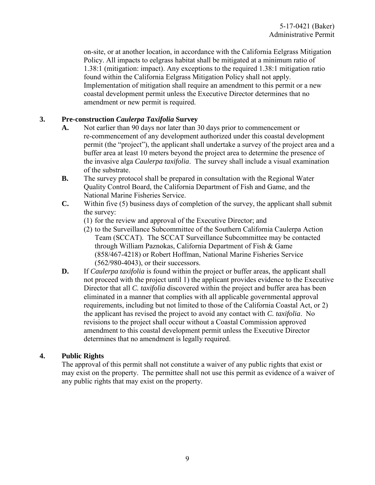<span id="page-8-0"></span>on-site, or at another location, in accordance with the California Eelgrass Mitigation Policy. All impacts to eelgrass habitat shall be mitigated at a minimum ratio of 1.38:1 (mitigation: impact). Any exceptions to the required 1.38:1 mitigation ratio found within the California Eelgrass Mitigation Policy shall not apply. Implementation of mitigation shall require an amendment to this permit or a new coastal development permit unless the Executive Director determines that no amendment or new permit is required.

#### **3. Pre-construction** *Caulerpa Taxifolia* **Survey**

- **A.** Not earlier than 90 days nor later than 30 days prior to commencement or re-commencement of any development authorized under this coastal development permit (the "project"), the applicant shall undertake a survey of the project area and a buffer area at least 10 meters beyond the project area to determine the presence of the invasive alga *Caulerpa taxifolia*. The survey shall include a visual examination of the substrate.
- **B.** The survey protocol shall be prepared in consultation with the Regional Water Quality Control Board, the California Department of Fish and Game, and the National Marine Fisheries Service.
- **C.** Within five (5) business days of completion of the survey, the applicant shall submit the survey:
	- (1) for the review and approval of the Executive Director; and
	- (2) to the Surveillance Subcommittee of the Southern California Caulerpa Action Team (SCCAT). The SCCAT Surveillance Subcommittee may be contacted through William Paznokas, California Department of Fish & Game (858/467-4218) or Robert Hoffman, National Marine Fisheries Service (562/980-4043), or their successors.
- **D.** If *Caulerpa taxifolia* is found within the project or buffer areas, the applicant shall not proceed with the project until 1) the applicant provides evidence to the Executive Director that all *C. taxifolia* discovered within the project and buffer area has been eliminated in a manner that complies with all applicable governmental approval requirements, including but not limited to those of the California Coastal Act, or 2) the applicant has revised the project to avoid any contact with *C. taxifolia*. No revisions to the project shall occur without a Coastal Commission approved amendment to this coastal development permit unless the Executive Director determines that no amendment is legally required.

### **4. Public Rights**

The approval of this permit shall not constitute a waiver of any public rights that exist or may exist on the property. The permittee shall not use this permit as evidence of a waiver of any public rights that may exist on the property.